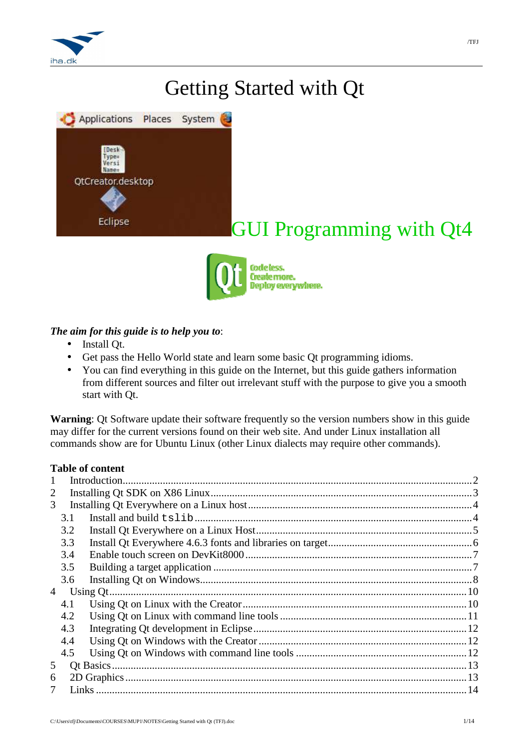

# Getting Started with Qt



# GUI Programming with Qt4



# *The aim for this guide is to help you to*:

- Install Qt.
- Get pass the Hello World state and learn some basic Qt programming idioms.
- You can find everything in this guide on the Internet, but this guide gathers information from different sources and filter out irrelevant stuff with the purpose to give you a smooth start with Qt.

**Warning**: Qt Software update their software frequently so the version numbers show in this guide may differ for the current versions found on their web site. And under Linux installation all commands show are for Ubuntu Linux (other Linux dialects may require other commands).

# **Table of content**

| 3.1            |  |
|----------------|--|
| 3.2            |  |
| 3.3            |  |
| 3.4            |  |
| 3.5            |  |
| 3.6            |  |
| $\overline{4}$ |  |
| 4.1            |  |
| 4.2            |  |
| 4.3            |  |
| 4.4            |  |
| 4.5            |  |
|                |  |
|                |  |
|                |  |
|                |  |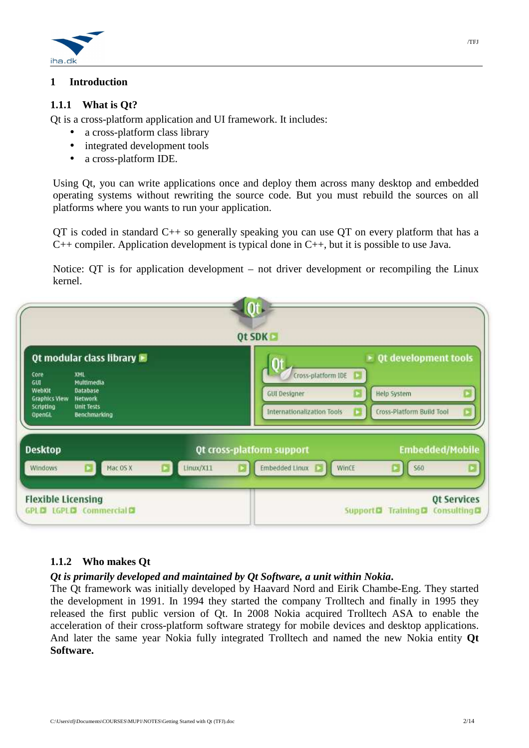

# **1 Introduction**

### **1.1.1 What is Qt?**

Qt is a cross-platform application and UI framework. It includes:

- a cross-platform class library
- integrated development tools
- a cross-platform IDE.

Using Qt, you can write applications once and deploy them across many desktop and embedded operating systems without rewriting the source code. But you must rebuild the sources on all platforms where you wants to run your application.

 $QT$  is coded in standard  $C++$  so generally speaking you can use  $QT$  on every platform that has a C++ compiler. Application development is typical done in C++, but it is possible to use Java.

Notice: QT is for application development – not driver development or recompiling the Linux kernel.

| Core                                         | Qt modular class library<br>XML          | $\triangleright$ Qt development tools<br>Cross-platform IDE |
|----------------------------------------------|------------------------------------------|-------------------------------------------------------------|
| <b>GUT</b><br>WebKit<br><b>Graphics View</b> | Multimedia<br><b>Database</b><br>Network | Help System<br><b>GUI Designer</b>                          |
| Scripting<br><b>OpenGL</b>                   | <b>Unit Tests</b><br>Benchmarking        | Internationalization Tools<br>Cross-Platform Build Tool     |
| <b>Desktop</b>                               |                                          | <b>Embedded/Mobile</b><br>Qt cross-platform support         |
|                                              |                                          |                                                             |

#### **1.1.2 Who makes Qt**

#### *Qt is primarily developed and maintained by Qt Software, a unit within Nokia***.**

The Qt framework was initially developed by Haavard Nord and Eirik Chambe-Eng. They started the development in 1991. In 1994 they started the company Trolltech and finally in 1995 they released the first public version of Qt. In 2008 Nokia acquired Trolltech ASA to enable the acceleration of their cross-platform software strategy for mobile devices and desktop applications. And later the same year Nokia fully integrated Trolltech and named the new Nokia entity **Qt Software.**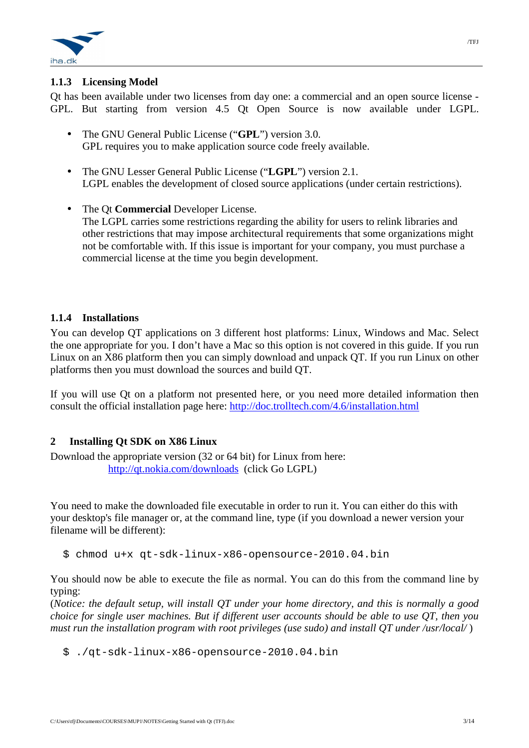

# **1.1.3 Licensing Model**

Qt has been available under two licenses from day one: a commercial and an open source license - GPL. But starting from version 4.5 Qt Open Source is now available under LGPL.

- The GNU General Public License ("**GPL**") version 3.0. GPL requires you to make application source code freely available.
- The GNU Lesser General Public License ("**LGPL**") version 2.1. LGPL enables the development of closed source applications (under certain restrictions).
- The Qt **Commercial** Developer License. The LGPL carries some restrictions regarding the ability for users to relink libraries and other restrictions that may impose architectural requirements that some organizations might not be comfortable with. If this issue is important for your company, you must purchase a commercial license at the time you begin development.

# **1.1.4 Installations**

You can develop QT applications on 3 different host platforms: Linux, Windows and Mac. Select the one appropriate for you. I don't have a Mac so this option is not covered in this guide. If you run Linux on an X86 platform then you can simply download and unpack QT. If you run Linux on other platforms then you must download the sources and build QT.

If you will use Qt on a platform not presented here, or you need more detailed information then consult the official installation page here: http://doc.trolltech.com/4.6/installation.html

# **2 Installing Qt SDK on X86 Linux**

Download the appropriate version (32 or 64 bit) for Linux from here: http://qt.nokia.com/downloads (click Go LGPL)

You need to make the downloaded file executable in order to run it. You can either do this with your desktop's file manager or, at the command line, type (if you download a newer version your filename will be different):

\$ chmod u+x qt-sdk-linux-x86-opensource-2010.04.bin

You should now be able to execute the file as normal. You can do this from the command line by typing:

(*Notice: the default setup, will install QT under your home directory, and this is normally a good choice for single user machines. But if different user accounts should be able to use QT, then you must run the installation program with root privileges (use sudo) and install QT under /usr/local/* )

\$ ./qt-sdk-linux-x86-opensource-2010.04.bin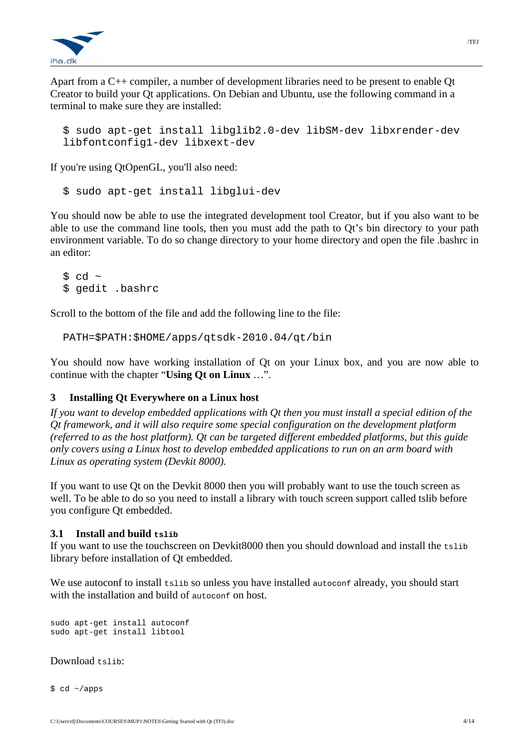

Apart from a C++ compiler, a number of development libraries need to be present to enable Qt Creator to build your Qt applications. On Debian and Ubuntu, use the following command in a terminal to make sure they are installed:

```
$ sudo apt-get install libglib2.0-dev libSM-dev libxrender-dev 
libfontconfig1-dev libxext-dev
```
If you're using QtOpenGL, you'll also need:

\$ sudo apt-get install libglui-dev

You should now be able to use the integrated development tool Creator, but if you also want to be able to use the command line tools, then you must add the path to Qt's bin directory to your path environment variable. To do so change directory to your home directory and open the file .bashrc in an editor:

 $\text{S}$  cd ~ \$ gedit .bashrc

Scroll to the bottom of the file and add the following line to the file:

PATH=\$PATH:\$HOME/apps/qtsdk-2010.04/qt/bin

You should now have working installation of Qt on your Linux box, and you are now able to continue with the chapter "**Using Qt on Linux** …".

# **3 Installing Qt Everywhere on a Linux host**

*If you want to develop embedded applications with Qt then you must install a special edition of the Qt framework, and it will also require some special configuration on the development platform (referred to as the host platform). Qt can be targeted different embedded platforms, but this guide only covers using a Linux host to develop embedded applications to run on an arm board with Linux as operating system (Devkit 8000).* 

If you want to use Qt on the Devkit 8000 then you will probably want to use the touch screen as well. To be able to do so you need to install a library with touch screen support called tslib before you configure Qt embedded.

#### **3.1 Install and build tslib**

If you want to use the touchscreen on Devkit8000 then you should download and install the tslib library before installation of Qt embedded.

We use autoconf to install tslib so unless you have installed autoconf already, you should start with the installation and build of autoconf on host.

```
sudo apt-get install autoconf 
sudo apt-get install libtool
```
Download tslib:

\$ cd ~/apps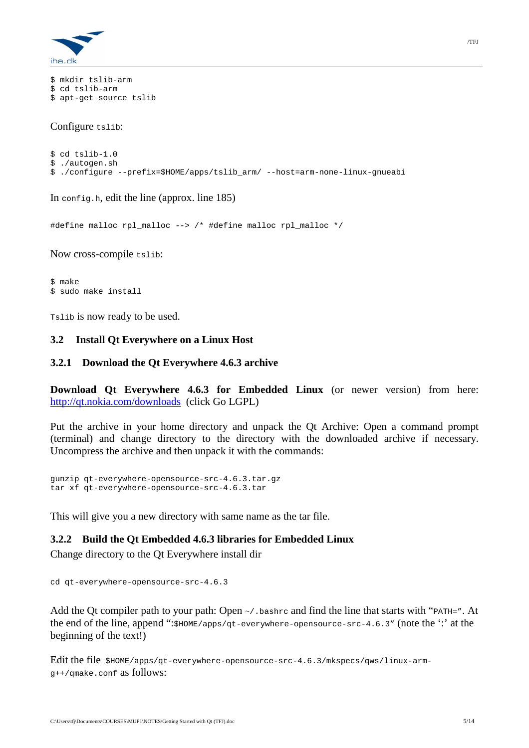

```
$ mkdir tslib-arm 
$ cd tslib-arm 
$ apt-get source tslib
```
Configure tslib:

```
$ cd tslib-1.0 
$ ./autogen.sh 
$ ./configure --prefix=$HOME/apps/tslib_arm/ --host=arm-none-linux-gnueabi
```
In config.h, edit the line (approx. line 185)

#define malloc rpl\_malloc --> /\* #define malloc rpl\_malloc \*/

Now cross-compile tslib:

\$ make \$ sudo make install

Tslib is now ready to be used.

#### **3.2 Install Qt Everywhere on a Linux Host**

#### **3.2.1 Download the Qt Everywhere 4.6.3 archive**

**Download Qt Everywhere 4.6.3 for Embedded Linux** (or newer version) from here: http://qt.nokia.com/downloads (click Go LGPL)

Put the archive in your home directory and unpack the Qt Archive: Open a command prompt (terminal) and change directory to the directory with the downloaded archive if necessary. Uncompress the archive and then unpack it with the commands:

gunzip qt-everywhere-opensource-src-4.6.3.tar.gz tar xf qt-everywhere-opensource-src-4.6.3.tar

This will give you a new directory with same name as the tar file.

#### **3.2.2 Build the Qt Embedded 4.6.3 libraries for Embedded Linux**

Change directory to the Qt Everywhere install dir

```
cd qt-everywhere-opensource-src-4.6.3
```
Add the Qt compiler path to your path: Open  $\sim$ /. bashrc and find the line that starts with "PATH=". At the end of the line, append ":\$HOME/apps/qt-everywhere-opensource-src-4.6.3" (note the ':' at the beginning of the text!)

Edit the file \$HOME/apps/qt-everywhere-opensource-src-4.6.3/mkspecs/qws/linux-armg++/qmake.conf as follows: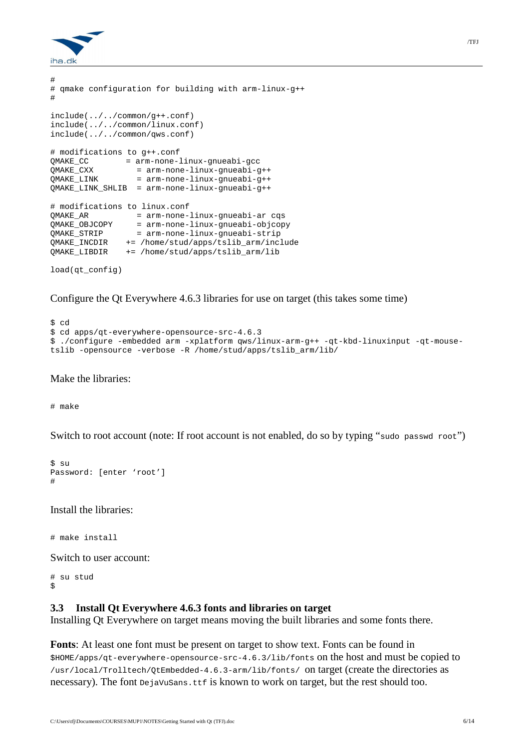

```
# 
# qmake configuration for building with arm-linux-g++ 
# 
include(../../common/g++.conf) 
include(../../common/linux.conf) 
include(../../common/qws.conf) 
# modifications to g++.conf 
QMAKE_CC = arm-none-linux-gnueabi-gcc 
           qmakeddl-gcc<br>= arm-none-linux-gnueabi-g++<br>= arm
QMAKE_LINK = arm-none-linux-gnueabi-g++ 
QMAKE_LINK_SHLIB = arm-none-linux-gnueabi-g++ 
# modifications to linux.conf 
QMAKE_AR = arm-none-linux-gnueabi-ar cqs 
QMAKE_OBJCOPY = arm-none-linux-gnueabi-objcopy 
QMAKE_STRIP = arm-none-linux-gnueabi-strip 
QMAKE_INCDIR += /home/stud/apps/tslib_arm/include 
QMAKE_LIBDIR += /home/stud/apps/tslib_arm/lib
```
load(qt\_config)

Configure the Qt Everywhere 4.6.3 libraries for use on target (this takes some time)

```
$ cd 
$ cd apps/qt-everywhere-opensource-src-4.6.3 
$ ./configure -embedded arm -xplatform qws/linux-arm-g++ -qt-kbd-linuxinput -qt-mouse-
tslib -opensource -verbose -R /home/stud/apps/tslib_arm/lib/
```
Make the libraries:

# make

Switch to root account (note: If root account is not enabled, do so by typing "sudo passwd root")

```
$ su 
Password: [enter 'root'] 
#
```
Install the libraries:

# make install

Switch to user account:

```
# su stud 
\mathsf{S}
```
#### **3.3 Install Qt Everywhere 4.6.3 fonts and libraries on target**

Installing Qt Everywhere on target means moving the built libraries and some fonts there.

**Fonts**: At least one font must be present on target to show text. Fonts can be found in \$HOME/apps/qt-everywhere-opensource-src-4.6.3/lib/fonts on the host and must be copied to /usr/local/Trolltech/QtEmbedded-4.6.3-arm/lib/fonts/ on target (create the directories as necessary). The font DejaVuSans.ttf is known to work on target, but the rest should too.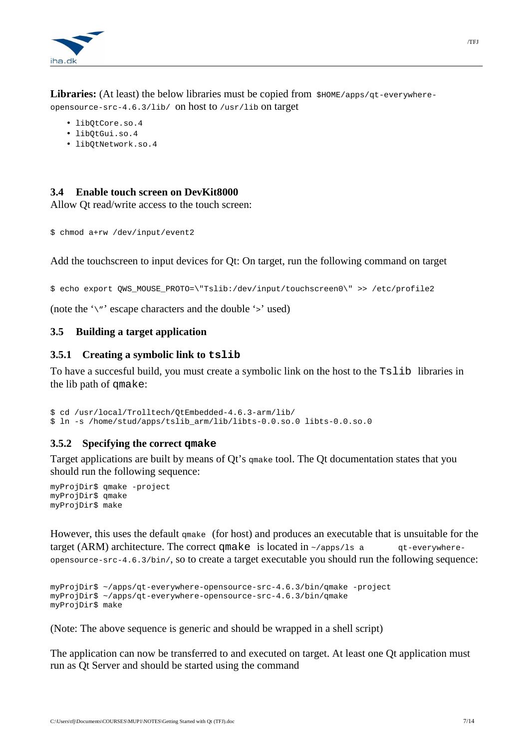

**Libraries:** (At least) the below libraries must be copied from  $\frac{\text{HOME}}{\text{ROME}}$  (apps/qt-everywhereopensource-src-4.6.3/lib/ on host to /usr/lib on target

- libQtCore.so.4
- libQtGui.so.4
- libQtNetwork.so.4

# **3.4 Enable touch screen on DevKit8000**

Allow Qt read/write access to the touch screen:

```
$ chmod a+rw /dev/input/event2
```
Add the touchscreen to input devices for Qt: On target, run the following command on target

\$ echo export QWS\_MOUSE\_PROTO=\"Tslib:/dev/input/touchscreen0\" >> /etc/profile2

(note the  $\gamma$ " escape characters and the double  $\gamma$ " used)

# **3.5 Building a target application**

#### **3.5.1 Creating a symbolic link to tslib**

To have a succesful build, you must create a symbolic link on the host to the Tslib libraries in the lib path of qmake:

\$ cd /usr/local/Trolltech/QtEmbedded-4.6.3-arm/lib/ \$ ln -s /home/stud/apps/tslib\_arm/lib/libts-0.0.so.0 libts-0.0.so.0

# **3.5.2 Specifying the correct qmake**

Target applications are built by means of Qt's qmake tool. The Qt documentation states that you should run the following sequence:

```
myProjDir$ qmake -project 
myProjDir$ qmake 
myProjDir$ make
```
However, this uses the default qmake (for host) and produces an executable that is unsuitable for the target (ARM) architecture. The correct qmake is located in  $\sim$ /apps/ls a qt-everywhereopensource-src-4.6.3/bin/, so to create a target executable you should run the following sequence:

```
myProjDir$ ~/apps/qt-everywhere-opensource-src-4.6.3/bin/qmake -project 
myProjDir$ ~/apps/qt-everywhere-opensource-src-4.6.3/bin/qmake 
myProjDir$ make
```
(Note: The above sequence is generic and should be wrapped in a shell script)

The application can now be transferred to and executed on target. At least one Qt application must run as Qt Server and should be started using the command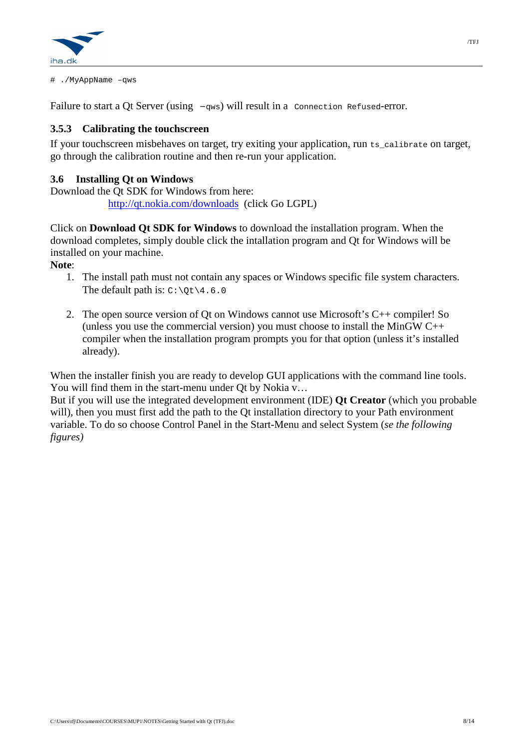

# ./MyAppName –qws

Failure to start a Qt Server (using  $-qws$ ) will result in a connection Refused-error.

# **3.5.3 Calibrating the touchscreen**

If your touchscreen misbehaves on target, try exiting your application, run ts\_calibrate on target, go through the calibration routine and then re-run your application.

# **3.6 Installing Qt on Windows**

Download the Qt SDK for Windows from here: http://qt.nokia.com/downloads (click Go LGPL)

Click on **Download Qt SDK for Windows** to download the installation program. When the download completes, simply double click the intallation program and Qt for Windows will be installed on your machine.

**Note**:

- 1. The install path must not contain any spaces or Windows specific file system characters. The default path is:  $C:\O(4.6.0)$
- 2. The open source version of Qt on Windows cannot use Microsoft's C++ compiler! So (unless you use the commercial version) you must choose to install the MinGW  $C++$ compiler when the installation program prompts you for that option (unless it's installed already).

When the installer finish you are ready to develop GUI applications with the command line tools. You will find them in the start-menu under Qt by Nokia v...

But if you will use the integrated development environment (IDE) **Qt Creator** (which you probable will), then you must first add the path to the Qt installation directory to your Path environment variable. To do so choose Control Panel in the Start-Menu and select System (*se the following figures)*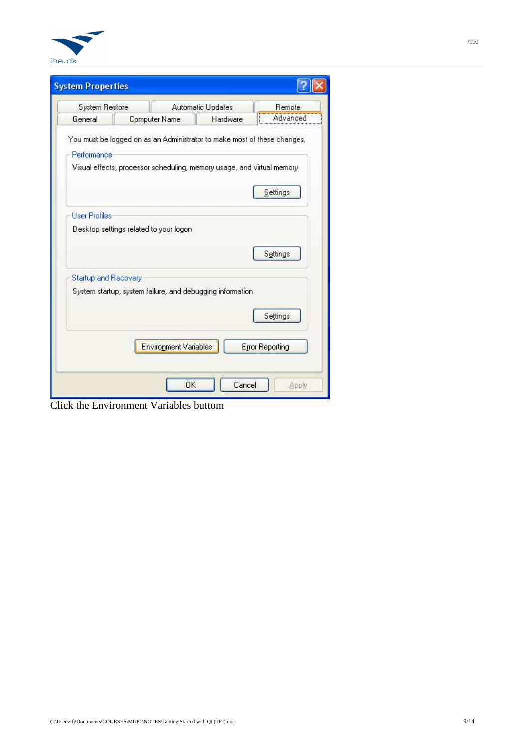

|                      | <b>System Restore</b>                                                                                                                               | <b>Automatic Updates</b> | Remote                 |
|----------------------|-----------------------------------------------------------------------------------------------------------------------------------------------------|--------------------------|------------------------|
| General              | Computer Name                                                                                                                                       | Hardware                 | Advanced               |
| Performance          | You must be logged on as an Administrator to make most of these changes.<br>Visual effects, processor scheduling, memory usage, and virtual memory- |                          |                        |
|                      |                                                                                                                                                     |                          | Settings               |
| <b>User Profiles</b> |                                                                                                                                                     |                          |                        |
|                      | Desktop settings related to your logon                                                                                                              |                          |                        |
|                      |                                                                                                                                                     |                          | Settings               |
| Startup and Recovery |                                                                                                                                                     |                          |                        |
|                      | System startup, system failure, and debugging information                                                                                           |                          |                        |
|                      |                                                                                                                                                     |                          | Settings               |
|                      | <b>Environment Variables</b>                                                                                                                        |                          | <b>Error Reporting</b> |

Click the Environment Variables buttom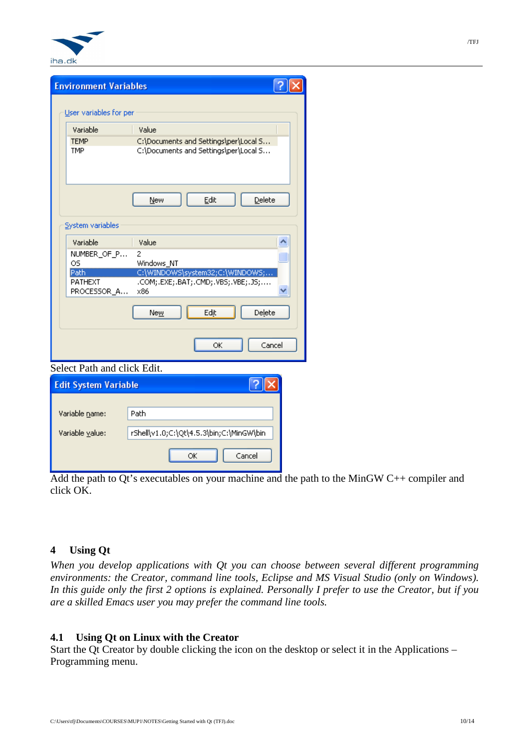

| Variable                                                                 | Value                                                                          |
|--------------------------------------------------------------------------|--------------------------------------------------------------------------------|
| <b>TEMP</b><br><b>TMP</b>                                                | C:\Documents and Settings\per\Local S<br>C:\Documents and Settings\per\Local S |
|                                                                          | Edit<br>Delete<br>New                                                          |
|                                                                          |                                                                                |
| Variable                                                                 | Value                                                                          |
|                                                                          | 2<br>Windows NT                                                                |
| System variables<br>NUMBER_OF_P<br>OS.<br>Path<br>PATHEXT<br>PROCESSOR A | C:\WINDOWS\system32;C:\WINDOWS;<br>.COM;.EXE;.BAT;.CMD;.VBS;.VBE;.JS;<br>x86   |

| Edit System Variable |                                          |  |  |  |
|----------------------|------------------------------------------|--|--|--|
|                      |                                          |  |  |  |
| Variable name:       | Path                                     |  |  |  |
| Variable value:      | rShell\v1.0;C:\Qt\4.5.3\bin;C:\MinGW\bin |  |  |  |
|                      | Cancel<br>ОК                             |  |  |  |

Add the path to Qt's executables on your machine and the path to the MinGW C++ compiler and click OK.

# **4 Using Qt**

*When you develop applications with Qt you can choose between several different programming environments: the Creator, command line tools, Eclipse and MS Visual Studio (only on Windows). In this guide only the first 2 options is explained. Personally I prefer to use the Creator, but if you are a skilled Emacs user you may prefer the command line tools.* 

# **4.1 Using Qt on Linux with the Creator**

Start the Qt Creator by double clicking the icon on the desktop or select it in the Applications – Programming menu.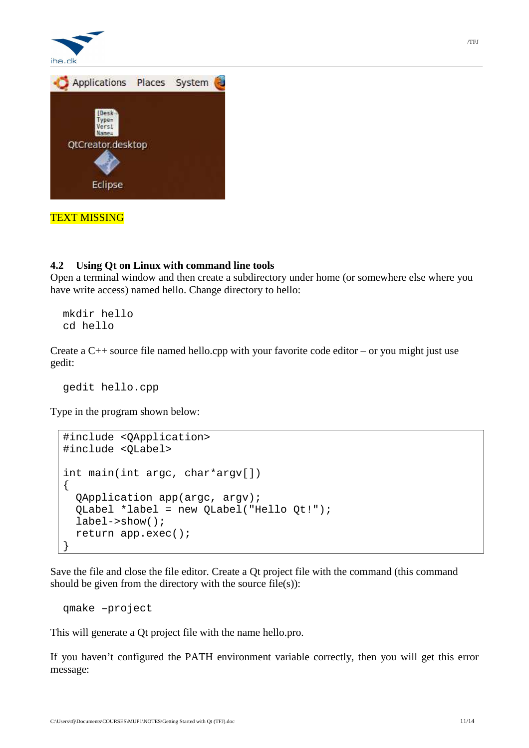

# **4.2 Using Qt on Linux with command line tools**

Open a terminal window and then create a subdirectory under home (or somewhere else where you have write access) named hello. Change directory to hello:

mkdir hello cd hello

Create a  $C_{++}$  source file named hello.cpp with your favorite code editor – or you might just use gedit:

gedit hello.cpp

Type in the program shown below:

```
#include <QApplication> 
#include <QLabel> 
int main(int argc, char*argv[]) 
\{ QApplication app(argc, argv); 
   QLabel *label = new QLabel("Hello Qt!"); 
   label->show(); 
   return app.exec(); 
}
```
Save the file and close the file editor. Create a Qt project file with the command (this command should be given from the directory with the source  $file(s)$ :

qmake –project

This will generate a Qt project file with the name hello.pro.

If you haven't configured the PATH environment variable correctly, then you will get this error message: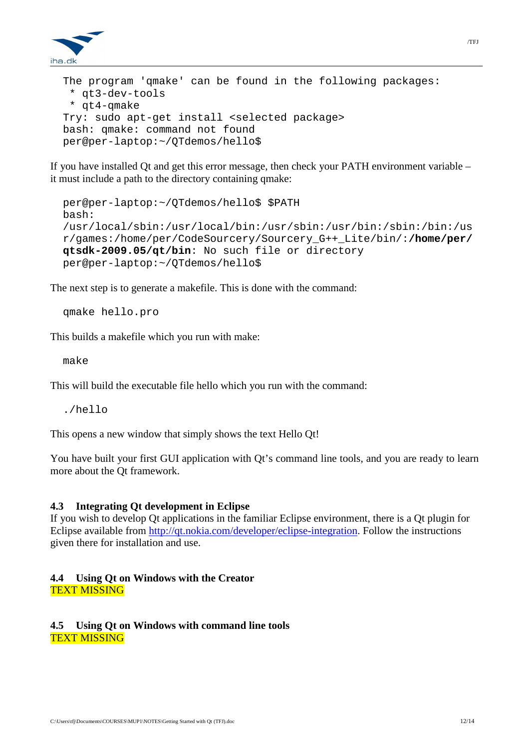

```
The program 'qmake' can be found in the following packages: 
  * qt3-dev-tools 
  * qt4-qmake 
Try: sudo apt-get install <selected package>
bash: qmake: command not found 
per@per-laptop:~/QTdemos/hello$
```
If you have installed Qt and get this error message, then check your PATH environment variable – it must include a path to the directory containing qmake:

```
per@per-laptop:~/QTdemos/hello$ $PATH 
bash: 
/usr/local/sbin:/usr/local/bin:/usr/sbin:/usr/bin:/sbin:/bin:/us
r/games:/home/per/CodeSourcery/Sourcery_G++_Lite/bin/:/home/per/
qtsdk-2009.05/qt/bin: No such file or directory 
per@per-laptop:~/QTdemos/hello$
```
The next step is to generate a makefile. This is done with the command:

qmake hello.pro

This builds a makefile which you run with make:

make

This will build the executable file hello which you run with the command:

 $/h$ ello

This opens a new window that simply shows the text Hello Qt!

You have built your first GUI application with Qt's command line tools, and you are ready to learn more about the Qt framework.

#### **4.3 Integrating Qt development in Eclipse**

If you wish to develop Qt applications in the familiar Eclipse environment, there is a Qt plugin for Eclipse available from http://qt.nokia.com/developer/eclipse-integration. Follow the instructions given there for installation and use.

#### **4.4 Using Qt on Windows with the Creator**  TEXT MISSING

#### **4.5 Using Qt on Windows with command line tools**  TEXT MISSING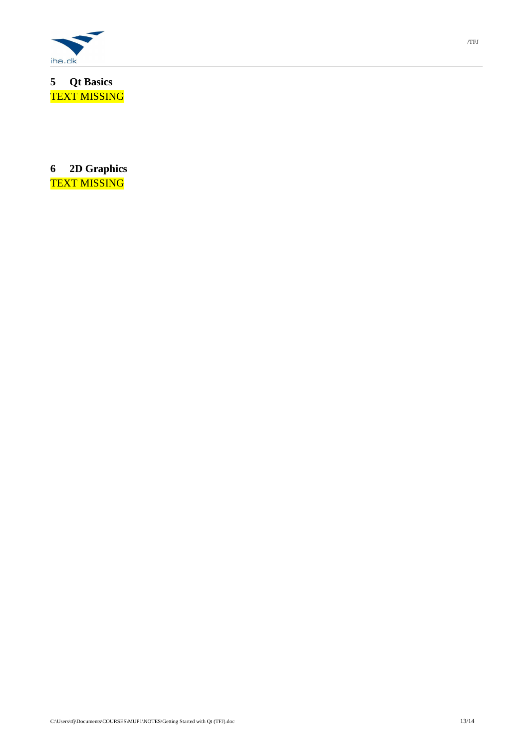

**5 Qt Basics**  TEXT MISSING

**6 2D Graphics**  TEXT MISSING